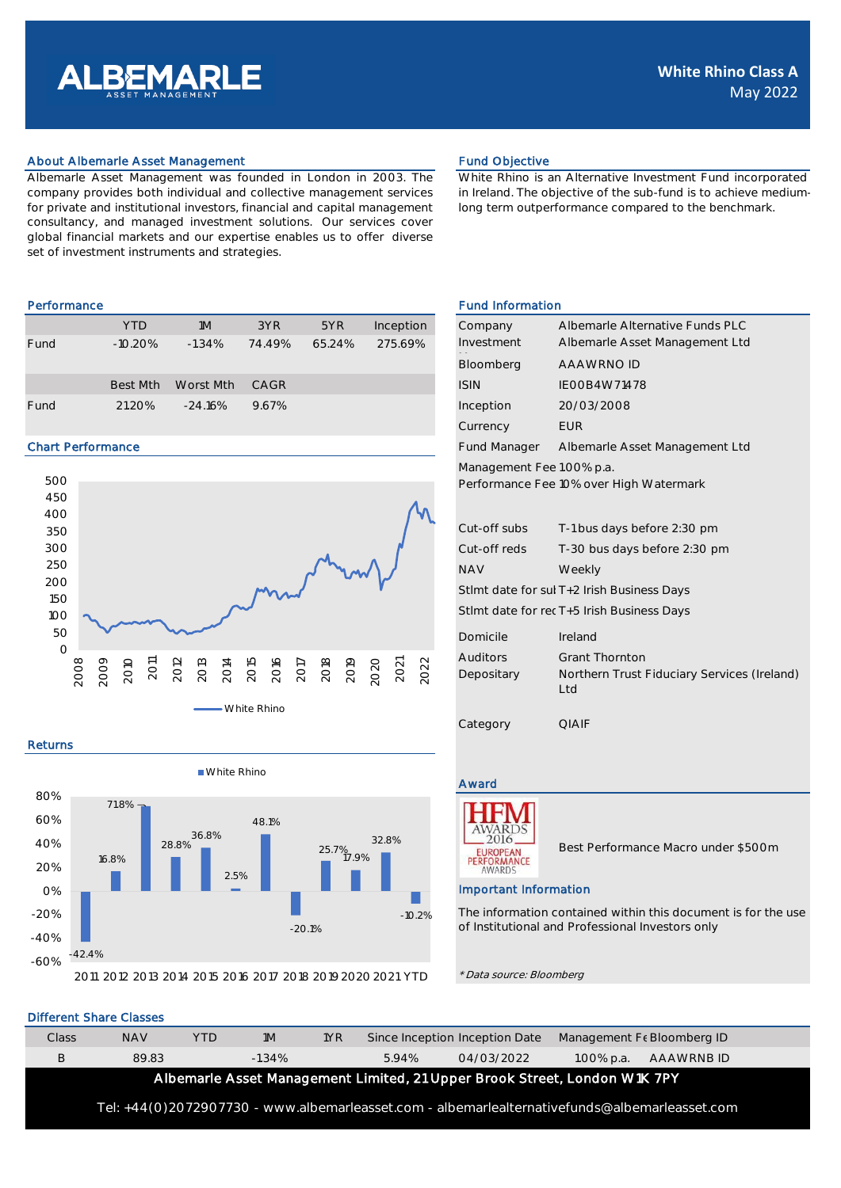

# About Albemarle Asset Management **Fund Objective** Fund Objective

Albemarle Asset Management was founded in London in 2003. The company provides both individual and collective management services for private and institutional investors, financial and capital management consultancy, and managed investment solutions. Our services cover global financial markets and our expertise enables us to offer diverse set of investment instruments and strategies.

|      | <b>YTD</b> | 1M        | 3YR    | 5YR    | Inception | Company     | Albemarle Alter |
|------|------------|-----------|--------|--------|-----------|-------------|-----------------|
| Fund | $-10.20\%$ | $-1.34%$  | 74 49% | 65.24% | 275.69%   | Investment  | Albemarle Asse  |
|      |            |           |        |        |           | Bloomberg   | AAAWRNO ID      |
|      | Best Mth   | Worst Mth | CAGR   |        |           | <b>ISIN</b> | IEOOB4W71478    |
| Fund | 21.20%     | $-24.16%$ | 9.67%  |        |           | Inception   | 20/03/2008      |

# Chart Performance



#### Returns



White Rhino is an Alternative Investment Fund incorporated in Ireland. The objective of the sub-fund is to achieve mediumlong term outperformance compared to the benchmark.

### Performance Fund Information

| Company<br>Investment                                                | Albemarle Alternative Funds PLC<br>Albemarle Asset Management Ltd |  |  |  |  |
|----------------------------------------------------------------------|-------------------------------------------------------------------|--|--|--|--|
| <b>Bloomberg</b>                                                     | AAAWRNO ID                                                        |  |  |  |  |
| <b>ISIN</b>                                                          | IFOOB4W71478                                                      |  |  |  |  |
| Inception                                                            | 20/03/2008                                                        |  |  |  |  |
| Currency                                                             | FUR                                                               |  |  |  |  |
| Fund Manager                                                         | Albemarle Asset Management Ltd                                    |  |  |  |  |
| Management Fee 1.00% p.a.<br>Performance Fee 10% over High Watermark |                                                                   |  |  |  |  |
| Cut-off subs                                                         | T-1 bus days before 2:30 pm                                       |  |  |  |  |

| Cut-off reds                               | T-30 bus days before 2:30 pm |  |  |  |  |
|--------------------------------------------|------------------------------|--|--|--|--|
| <b>NAV</b>                                 | Weekly                       |  |  |  |  |
| Stimt date for sul T+2 Irish Business Days |                              |  |  |  |  |

Stlmt date for rec T+5 Irish Business Days

| Domicile   | <i>Ireland</i>                                      |
|------------|-----------------------------------------------------|
| Auditors   | <b>Grant Thornton</b>                               |
| Depositary | Northern Trust Fiduciary Services (Ireland)<br>Ltd. |

# Award



Best Performance Macro under \$500m

#### Important Information

Category **QIAIF** 

The information contained within this document is for the use of Institutional and Professional Investors only

\* Data source: Bloomberg

|                                                                                               | Different Share Classes |            |           |     |                                |            |            |                            |  |
|-----------------------------------------------------------------------------------------------|-------------------------|------------|-----------|-----|--------------------------------|------------|------------|----------------------------|--|
| Class                                                                                         | <b>NAV</b>              | <b>YTD</b> | 1M        | 1YR | Since Inception Inception Date |            |            | Management Fe Bloomberg ID |  |
| В                                                                                             | 89.83                   |            | $-1.34\%$ |     | 5.94%                          | 04/03/2022 | 1.00% p.a. | AAAWRNB ID                 |  |
| Albemarle Asset Management Limited, 21 Upper Brook Street, London W1K 7PY                     |                         |            |           |     |                                |            |            |                            |  |
| Tel: +44(0)2072907730 - www.albemarleasset.com - albemarlealternativefunds@albemarleasset.com |                         |            |           |     |                                |            |            |                            |  |